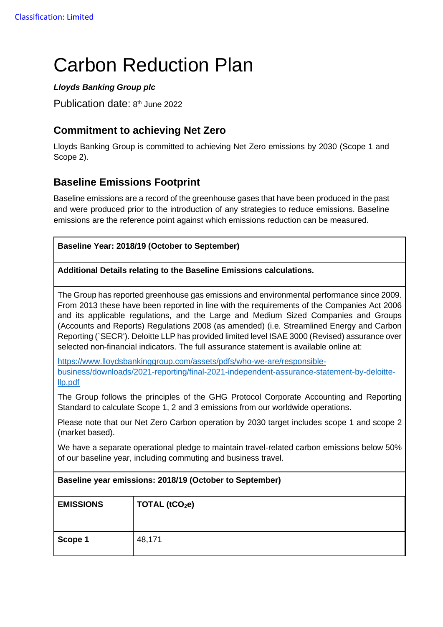# Carbon Reduction Plan

#### *Lloyds Banking Group plc*

Publication date: 8<sup>th</sup> June 2022

## **Commitment to achieving Net Zero**

Lloyds Banking Group is committed to achieving Net Zero emissions by 2030 (Scope 1 and Scope 2).

## **Baseline Emissions Footprint**

Baseline emissions are a record of the greenhouse gases that have been produced in the past and were produced prior to the introduction of any strategies to reduce emissions. Baseline emissions are the reference point against which emissions reduction can be measured.

٦

| Baseline Year: 2018/19 (October to September)                       |                                                                                                                                                                                                                                                                                                                                                                                                                                                                                                                                                                         |  |  |
|---------------------------------------------------------------------|-------------------------------------------------------------------------------------------------------------------------------------------------------------------------------------------------------------------------------------------------------------------------------------------------------------------------------------------------------------------------------------------------------------------------------------------------------------------------------------------------------------------------------------------------------------------------|--|--|
| Additional Details relating to the Baseline Emissions calculations. |                                                                                                                                                                                                                                                                                                                                                                                                                                                                                                                                                                         |  |  |
|                                                                     | The Group has reported greenhouse gas emissions and environmental performance since 2009.<br>From 2013 these have been reported in line with the requirements of the Companies Act 2006<br>and its applicable regulations, and the Large and Medium Sized Companies and Groups<br>(Accounts and Reports) Regulations 2008 (as amended) (i.e. Streamlined Energy and Carbon<br>Reporting (`SECR'). Deloitte LLP has provided limited level ISAE 3000 (Revised) assurance over<br>selected non-financial indicators. The full assurance statement is available online at: |  |  |
| llp.pdf                                                             | https://www.lloydsbankinggroup.com/assets/pdfs/who-we-are/responsible-<br>business/downloads/2021-reporting/final-2021-independent-assurance-statement-by-deloitte-                                                                                                                                                                                                                                                                                                                                                                                                     |  |  |
|                                                                     | The Group follows the principles of the GHG Protocol Corporate Accounting and Reporting<br>Standard to calculate Scope 1, 2 and 3 emissions from our worldwide operations.                                                                                                                                                                                                                                                                                                                                                                                              |  |  |
| (market based).                                                     | Please note that our Net Zero Carbon operation by 2030 target includes scope 1 and scope 2                                                                                                                                                                                                                                                                                                                                                                                                                                                                              |  |  |
|                                                                     | We have a separate operational pledge to maintain travel-related carbon emissions below 50%<br>of our baseline year, including commuting and business travel.                                                                                                                                                                                                                                                                                                                                                                                                           |  |  |
|                                                                     | Baseline year emissions: 2018/19 (October to September)                                                                                                                                                                                                                                                                                                                                                                                                                                                                                                                 |  |  |
| <b>EMISSIONS</b>                                                    | TOTAL (tCO <sub>2</sub> e)                                                                                                                                                                                                                                                                                                                                                                                                                                                                                                                                              |  |  |
| Scope 1                                                             | 48,171                                                                                                                                                                                                                                                                                                                                                                                                                                                                                                                                                                  |  |  |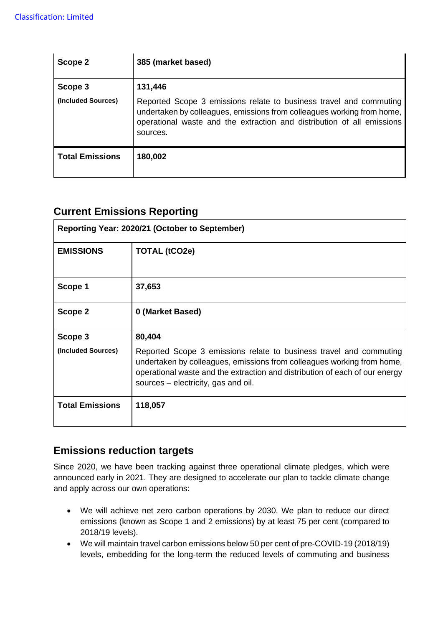| Scope 2                | 385 (market based)                                                                                                                                                                                                                 |
|------------------------|------------------------------------------------------------------------------------------------------------------------------------------------------------------------------------------------------------------------------------|
| Scope 3                | 131,446                                                                                                                                                                                                                            |
| (Included Sources)     | Reported Scope 3 emissions relate to business travel and commuting<br>undertaken by colleagues, emissions from colleagues working from home,<br>operational waste and the extraction and distribution of all emissions<br>sources. |
| <b>Total Emissions</b> | 180,002                                                                                                                                                                                                                            |

## **Current Emissions Reporting**

| Reporting Year: 2020/21 (October to September) |                                                                                                                                                                                                                                                                    |
|------------------------------------------------|--------------------------------------------------------------------------------------------------------------------------------------------------------------------------------------------------------------------------------------------------------------------|
| <b>EMISSIONS</b>                               | TOTAL (tCO2e)                                                                                                                                                                                                                                                      |
| Scope 1                                        | 37,653                                                                                                                                                                                                                                                             |
| Scope 2                                        | 0 (Market Based)                                                                                                                                                                                                                                                   |
| Scope 3                                        | 80,404                                                                                                                                                                                                                                                             |
| (Included Sources)                             | Reported Scope 3 emissions relate to business travel and commuting<br>undertaken by colleagues, emissions from colleagues working from home,<br>operational waste and the extraction and distribution of each of our energy<br>sources – electricity, gas and oil. |
| <b>Total Emissions</b>                         | 118,057                                                                                                                                                                                                                                                            |

### **Emissions reduction targets**

Since 2020, we have been tracking against three operational climate pledges, which were announced early in 2021. They are designed to accelerate our plan to tackle climate change and apply across our own operations:

- We will achieve net zero carbon operations by 2030. We plan to reduce our direct emissions (known as Scope 1 and 2 emissions) by at least 75 per cent (compared to 2018/19 levels).
- We will maintain travel carbon emissions below 50 per cent of pre-COVID-19 (2018/19) levels, embedding for the long-term the reduced levels of commuting and business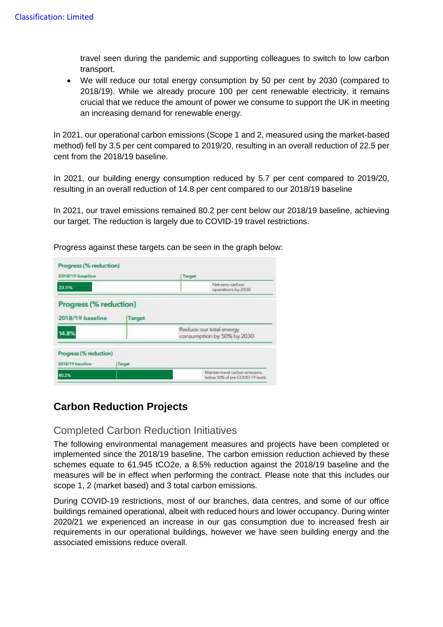travel seen during the pandemic and supporting colleagues to switch to low carbon transport.

• We will reduce our total energy consumption by 50 per cent by 2030 (compared to 2018/19). While we already procure 100 per cent renewable electricity, it remains crucial that we reduce the amount of power we consume to support the UK in meeting an increasing demand for renewable energy.

In 2021, our operational carbon emissions (Scope 1 and 2, measured using the market-based method) fell by 3.5 per cent compared to 2019/20, resulting in an overall reduction of 22.5 per cent from the 2018/19 baseline.

In 2021, our building energy consumption reduced by 5.7 per cent compared to 2019/20, resulting in an overall reduction of 14.8 per cent compared to our 2018/19 baseline

In 2021, our travel emissions remained 80.2 per cent below our 2018/19 baseline, achieving our target. The reduction is largely due to COVID-19 travel restrictions.

| Progress (% reduction)<br>2018/19 baseline<br>Target<br>Reduce our total energy<br>14.8%<br>consumption by 50% by 2030 | 22.5%                                      |        | Target<br>Net zero carbon<br>operations by 2030 |
|------------------------------------------------------------------------------------------------------------------------|--------------------------------------------|--------|-------------------------------------------------|
|                                                                                                                        |                                            |        |                                                 |
|                                                                                                                        |                                            |        |                                                 |
|                                                                                                                        |                                            |        |                                                 |
|                                                                                                                        | Progress (% reduction)<br>2018/19 baseline | Target |                                                 |

Progress against these targets can be seen in the graph below:

## **Carbon Reduction Projects**

#### Completed Carbon Reduction Initiatives

The following environmental management measures and projects have been completed or implemented since the 2018/19 baseline. The carbon emission reduction achieved by these schemes equate to 61,945 tCO2e, a 8.5% reduction against the 2018/19 baseline and the measures will be in effect when performing the contract. Please note that this includes our scope 1, 2 (market based) and 3 total carbon emissions.

During COVID-19 restrictions, most of our branches, data centres, and some of our office buildings remained operational, albeit with reduced hours and lower occupancy. During winter 2020/21 we experienced an increase in our gas consumption due to increased fresh air requirements in our operational buildings, however we have seen building energy and the associated emissions reduce overall.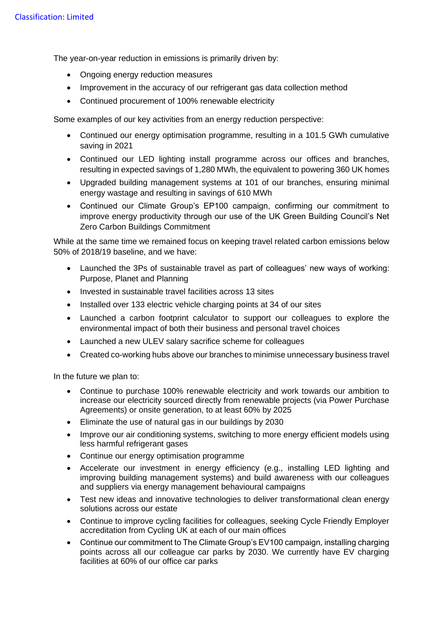The year-on-year reduction in emissions is primarily driven by:

- Ongoing energy reduction measures
- Improvement in the accuracy of our refrigerant gas data collection method
- Continued procurement of 100% renewable electricity

Some examples of our key activities from an energy reduction perspective:

- Continued our energy optimisation programme, resulting in a 101.5 GWh cumulative saving in 2021
- Continued our LED lighting install programme across our offices and branches, resulting in expected savings of 1,280 MWh, the equivalent to powering 360 UK homes
- Upgraded building management systems at 101 of our branches, ensuring minimal energy wastage and resulting in savings of 610 MWh
- Continued our Climate Group's EP100 campaign, confirming our commitment to improve energy productivity through our use of the UK Green Building Council's Net Zero Carbon Buildings Commitment

While at the same time we remained focus on keeping travel related carbon emissions below 50% of 2018/19 baseline, and we have:

- Launched the 3Ps of sustainable travel as part of colleagues' new ways of working: Purpose, Planet and Planning
- Invested in sustainable travel facilities across 13 sites
- Installed over 133 electric vehicle charging points at 34 of our sites
- Launched a carbon footprint calculator to support our colleagues to explore the environmental impact of both their business and personal travel choices
- Launched a new ULEV salary sacrifice scheme for colleagues
- Created co-working hubs above our branches to minimise unnecessary business travel

In the future we plan to:

- Continue to purchase 100% renewable electricity and work towards our ambition to increase our electricity sourced directly from renewable projects (via Power Purchase Agreements) or onsite generation, to at least 60% by 2025
- Eliminate the use of natural gas in our buildings by 2030
- Improve our air conditioning systems, switching to more energy efficient models using less harmful refrigerant gases
- Continue our energy optimisation programme
- Accelerate our investment in energy efficiency (e.g., installing LED lighting and improving building management systems) and build awareness with our colleagues and suppliers via energy management behavioural campaigns
- Test new ideas and innovative technologies to deliver transformational clean energy solutions across our estate
- Continue to improve cycling facilities for colleagues, seeking Cycle Friendly Employer accreditation from Cycling UK at each of our main offices
- Continue our commitment to The Climate Group's EV100 campaign, installing charging points across all our colleague car parks by 2030. We currently have EV charging facilities at 60% of our office car parks